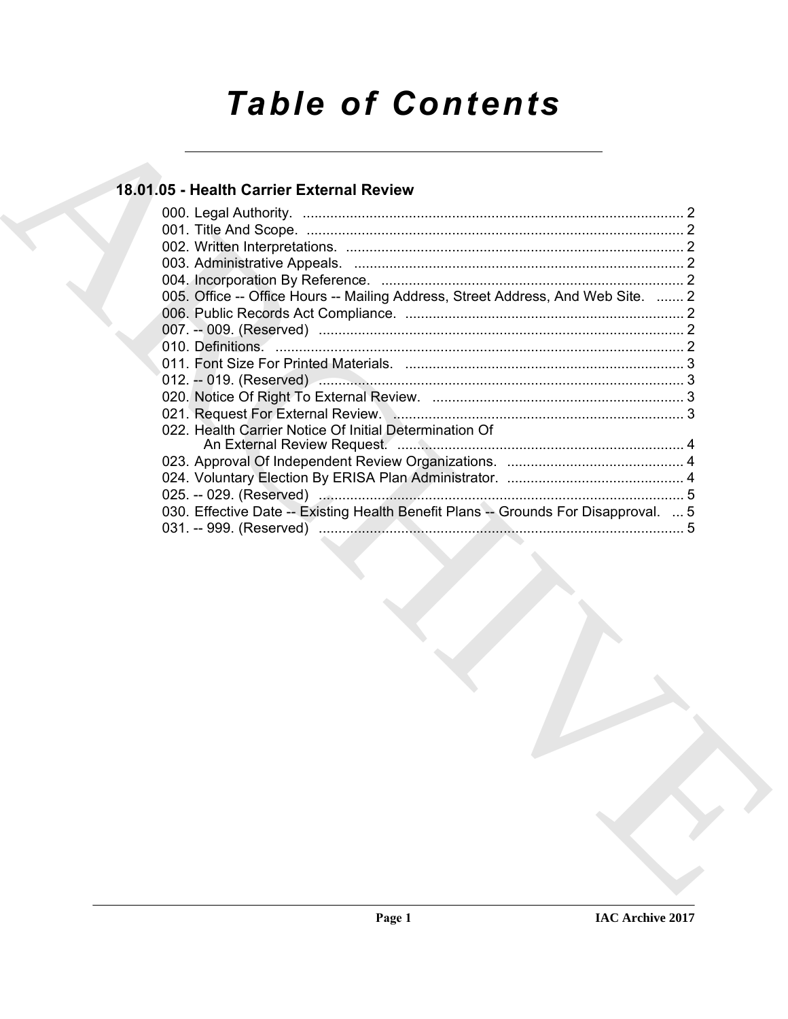# *Table of Contents*

# **18.01.05 - Health Carrier External Review**

| 005. Office -- Office Hours -- Mailing Address, Street Address, And Web Site.  2    |
|-------------------------------------------------------------------------------------|
|                                                                                     |
|                                                                                     |
|                                                                                     |
|                                                                                     |
|                                                                                     |
|                                                                                     |
|                                                                                     |
| 022. Health Carrier Notice Of Initial Determination Of                              |
|                                                                                     |
|                                                                                     |
|                                                                                     |
| 030. Effective Date -- Existing Health Benefit Plans -- Grounds For Disapproval.  5 |
|                                                                                     |
|                                                                                     |
|                                                                                     |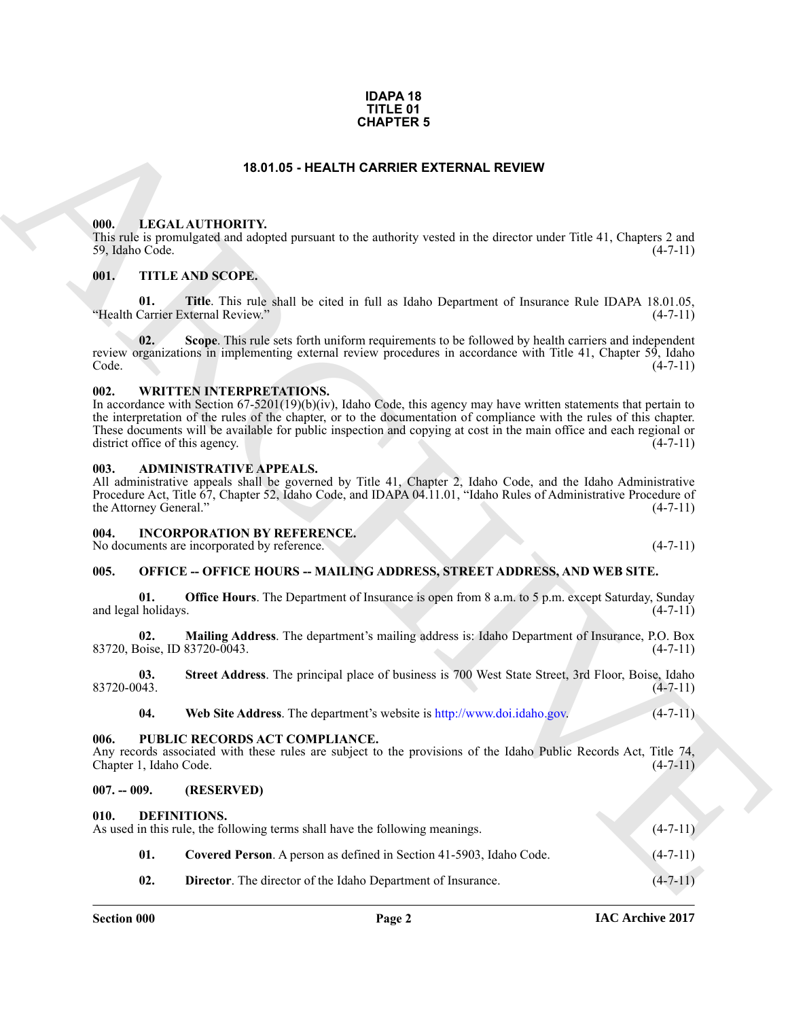#### **IDAPA 18 TITLE 01 CHAPTER 5**

# **18.01.05 - HEALTH CARRIER EXTERNAL REVIEW**

#### <span id="page-1-1"></span><span id="page-1-0"></span>**000. LEGAL AUTHORITY.**

# <span id="page-1-2"></span>**001. TITLE AND SCOPE.**

#### <span id="page-1-3"></span>**002. WRITTEN INTERPRETATIONS.**

#### <span id="page-1-4"></span>**003. ADMINISTRATIVE APPEALS.**

#### <span id="page-1-5"></span>**004. INCORPORATION BY REFERENCE.**

# <span id="page-1-6"></span>**005. OFFICE -- OFFICE HOURS -- MAILING ADDRESS, STREET ADDRESS, AND WEB SITE.**

#### <span id="page-1-7"></span>**006. PUBLIC RECORDS ACT COMPLIANCE.**

#### <span id="page-1-8"></span>**007. -- 009. (RESERVED)**

#### <span id="page-1-12"></span><span id="page-1-11"></span><span id="page-1-10"></span><span id="page-1-9"></span>**010. DEFINITIONS.**

| <b>CHAPTER 5</b>                        |                                                                                                                                                                                                                                                                                                                                                                                                       |                |  |
|-----------------------------------------|-------------------------------------------------------------------------------------------------------------------------------------------------------------------------------------------------------------------------------------------------------------------------------------------------------------------------------------------------------------------------------------------------------|----------------|--|
|                                         | 18.01.05 - HEALTH CARRIER EXTERNAL REVIEW                                                                                                                                                                                                                                                                                                                                                             |                |  |
| 000.<br>59, Idaho Code.                 | LEGAL AUTHORITY.<br>This rule is promulgated and adopted pursuant to the authority vested in the director under Title 41, Chapters 2 and                                                                                                                                                                                                                                                              | $(4-7-11)$     |  |
| 001.                                    | TITLE AND SCOPE.                                                                                                                                                                                                                                                                                                                                                                                      |                |  |
| 01.                                     | Title. This rule shall be cited in full as Idaho Department of Insurance Rule IDAPA 18.01.05,<br>"Health Carrier External Review."                                                                                                                                                                                                                                                                    | $(4-7-11)$     |  |
| 02.<br>Code.                            | Scope. This rule sets forth uniform requirements to be followed by health carriers and independent<br>review organizations in implementing external review procedures in accordance with Title 41, Chapter 59, Idaho                                                                                                                                                                                  | $(4-7-11)$     |  |
| 002.<br>district office of this agency. | <b>WRITTEN INTERPRETATIONS.</b><br>In accordance with Section 67-5201(19)(b)(iv), Idaho Code, this agency may have written statements that pertain to<br>the interpretation of the rules of the chapter, or to the documentation of compliance with the rules of this chapter.<br>These documents will be available for public inspection and copying at cost in the main office and each regional or | $(4-7-11)$     |  |
| 003.<br>the Attorney General."          | <b>ADMINISTRATIVE APPEALS.</b><br>All administrative appeals shall be governed by Title 41, Chapter 2, Idaho Code, and the Idaho Administrative<br>Procedure Act, Title 67, Chapter 52, Idaho Code, and IDAPA 04.11.01, "Idaho Rules of Administrative Procedure of                                                                                                                                   | $(4-7-11)$     |  |
| 004.                                    | <b>INCORPORATION BY REFERENCE.</b><br>No documents are incorporated by reference.                                                                                                                                                                                                                                                                                                                     | $(4-7-11)$     |  |
| 005.                                    | <b>OFFICE -- OFFICE HOURS -- MAILING ADDRESS, STREET ADDRESS, AND WEB SITE.</b>                                                                                                                                                                                                                                                                                                                       |                |  |
| 01.<br>and legal holidays.              | <b>Office Hours</b> . The Department of Insurance is open from 8 a.m. to 5 p.m. except Saturday, Sunday                                                                                                                                                                                                                                                                                               | $(4-7-11)$     |  |
| 02.<br>83720, Boise, ID 83720-0043.     | Mailing Address. The department's mailing address is: Idaho Department of Insurance, P.O. Box                                                                                                                                                                                                                                                                                                         | $(4-7-11)$     |  |
| 03.<br>83720-0043.                      | Street Address. The principal place of business is 700 West State Street, 3rd Floor, Boise, Idaho                                                                                                                                                                                                                                                                                                     | $(4 - 7 - 11)$ |  |
| 04.                                     | Web Site Address. The department's website is http://www.doi.idaho.gov.                                                                                                                                                                                                                                                                                                                               | $(4 - 7 - 11)$ |  |
| 006.<br>Chapter 1, Idaho Code.          | PUBLIC RECORDS ACT COMPLIANCE.<br>Any records associated with these rules are subject to the provisions of the Idaho Public Records Act, Title 74,                                                                                                                                                                                                                                                    | $(4-7-11)$     |  |
| $007. - 009.$                           | (RESERVED)                                                                                                                                                                                                                                                                                                                                                                                            |                |  |
| 010.                                    | DEFINITIONS.<br>As used in this rule, the following terms shall have the following meanings.                                                                                                                                                                                                                                                                                                          | $(4-7-11)$     |  |
| 01.                                     | Covered Person. A person as defined in Section 41-5903, Idaho Code.                                                                                                                                                                                                                                                                                                                                   | $(4 - 7 - 11)$ |  |
| 02.                                     | Director. The director of the Idaho Department of Insurance.                                                                                                                                                                                                                                                                                                                                          | $(4-7-11)$     |  |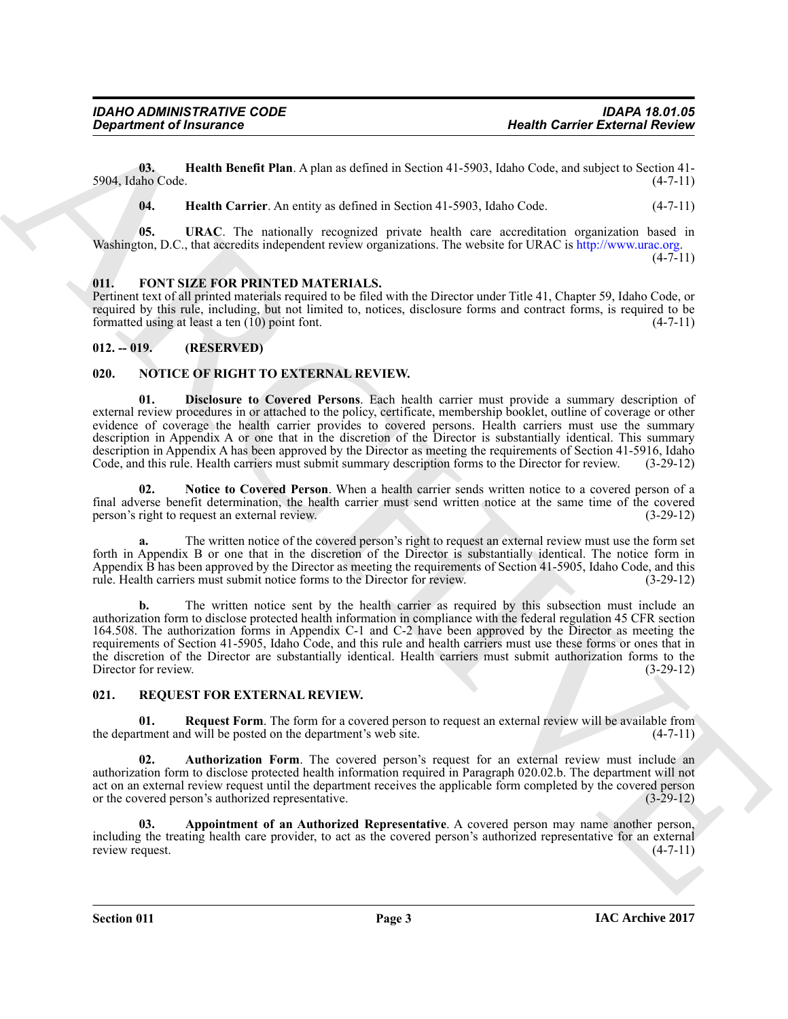**03. Health Benefit Plan**. A plan as defined in Section 41-5903, Idaho Code, and subject to Section 41- 5904, Idaho Code.

<span id="page-2-6"></span><span id="page-2-5"></span><span id="page-2-4"></span>**04. Health Carrier**. An entity as defined in Section 41-5903, Idaho Code. (4-7-11)

**05. URAC**. The nationally recognized private health care accreditation organization based in Washington, D.C., that accredits independent review organizations. The website for URAC is http://www.urac.org.

 $(4 - 7 - 11)$ 

# <span id="page-2-7"></span><span id="page-2-0"></span>**011. FONT SIZE FOR PRINTED MATERIALS.**

Pertinent text of all printed materials required to be filed with the Director under Title 41, Chapter 59, Idaho Code, or required by this rule, including, but not limited to, notices, disclosure forms and contract forms, is required to be formatted using at least a ten (10) point font. formatted using at least a ten  $(10)$  point font.

# <span id="page-2-1"></span>**012. -- 019. (RESERVED)**

# <span id="page-2-9"></span><span id="page-2-8"></span><span id="page-2-2"></span>**020. NOTICE OF RIGHT TO EXTERNAL REVIEW.**

**Bester of Francesco Control Research Control Research 1980. Research Control Research Control Research 1980**<br>
ARCHIVES CONTROL RESEARCH THE A Applies at defined in Securities (1980), backing control and securities (47-**01. Disclosure to Covered Persons**. Each health carrier must provide a summary description of external review procedures in or attached to the policy, certificate, membership booklet, outline of coverage or other evidence of coverage the health carrier provides to covered persons. Health carriers must use the summary description in Appendix A or one that in the discretion of the Director is substantially identical. This summary description in Appendix A has been approved by the Director as meeting the requirements of Section 41-5916, Idaho Code, and this rule. Health carriers must submit summary description forms to the Director for review. (3-29-12)

<span id="page-2-10"></span>**02. Notice to Covered Person**. When a health carrier sends written notice to a covered person of a final adverse benefit determination, the health carrier must send written notice at the same time of the covered person's right to request an external review. (3-29-12) person's right to request an external review.

The written notice of the covered person's right to request an external review must use the form set forth in Appendix B or one that in the discretion of the Director is substantially identical. The notice form in Appendix B has been approved by the Director as meeting the requirements of Section 41-5905, Idaho Code, and this rule. Health carriers must submit notice forms to the Director for review. (3-29-12)

**b.** The written notice sent by the health carrier as required by this subsection must include an authorization form to disclose protected health information in compliance with the federal regulation 45 CFR section 164.508. The authorization forms in Appendix C-1 and C-2 have been approved by the Director as meeting the requirements of Section 41-5905, Idaho Code, and this rule and health carriers must use these forms or ones that in the discretion of the Director are substantially identical. Health carriers must submit authorization forms to the Director for review. (3-29-12) Director for review.

#### <span id="page-2-11"></span><span id="page-2-3"></span>**021. REQUEST FOR EXTERNAL REVIEW.**

<span id="page-2-14"></span>**01. Request Form**. The form for a covered person to request an external review will be available from returnent and will be posted on the department's web site.  $(4-7-11)$ the department and will be posted on the department's web site.

<span id="page-2-13"></span>**02.** Authorization Form. The covered person's request for an external review must include an authorization form to disclose protected health information required in Paragraph 020.02.b. The department will not act on an external review request until the department receives the applicable form completed by the covered person<br>or the covered person's authorized representative. or the covered person's authorized representative.

<span id="page-2-12"></span>**03. Appointment of an Authorized Representative**. A covered person may name another person, including the treating health care provider, to act as the covered person's authorized representative for an external review request.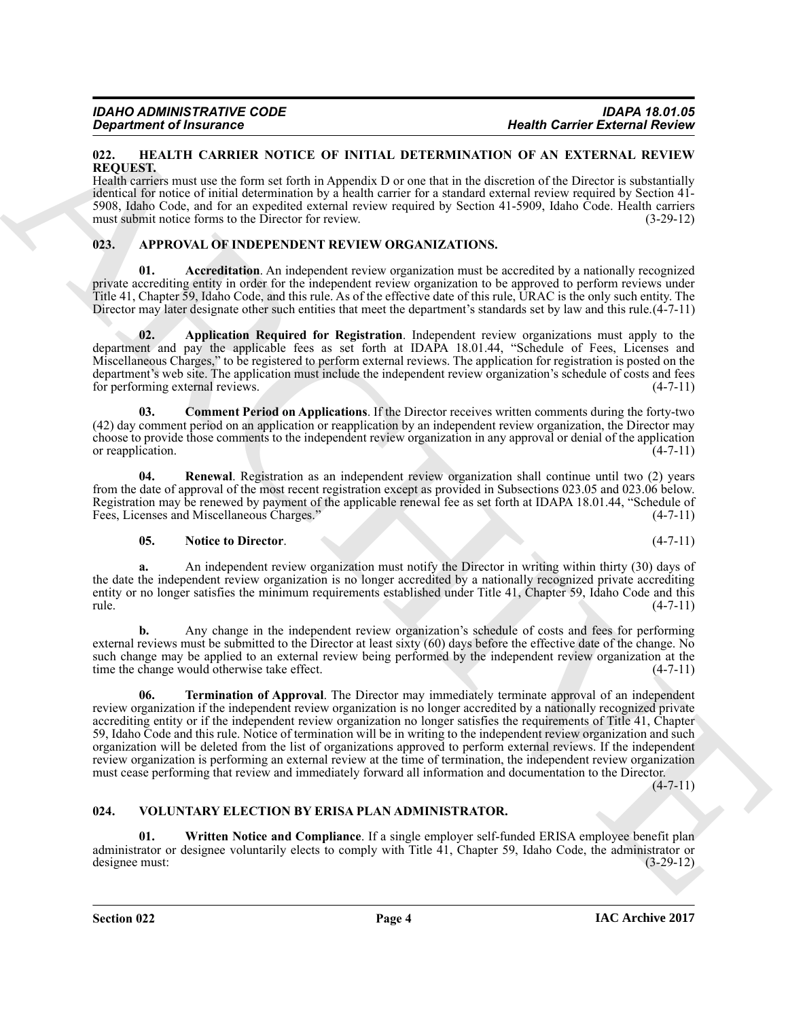#### <span id="page-3-10"></span><span id="page-3-0"></span>**022. HEALTH CARRIER NOTICE OF INITIAL DETERMINATION OF AN EXTERNAL REVIEW REQUEST.**

Health carriers must use the form set forth in Appendix D or one that in the discretion of the Director is substantially identical for notice of initial determination by a health carrier for a standard external review required by Section 41- 5908, Idaho Code, and for an expedited external review required by Section 41-5909, Idaho Code. Health carriers must submit notice forms to the Director for review. (3-29-12)

# <span id="page-3-3"></span><span id="page-3-1"></span>**023. APPROVAL OF INDEPENDENT REVIEW ORGANIZATIONS.**

<span id="page-3-4"></span>**Accreditation**. An independent review organization must be accredited by a nationally recognized private accrediting entity in order for the independent review organization to be approved to perform reviews under Title 41, Chapter 59, Idaho Code, and this rule. As of the effective date of this rule, URAC is the only such entity. The Director may later designate other such entities that meet the department's standards set by law and this rule.(4-7-11)

<span id="page-3-5"></span>**02. Application Required for Registration**. Independent review organizations must apply to the department and pay the applicable fees as set forth at IDAPA 18.01.44, "Schedule of Fees, Licenses and Miscellaneous Charges," to be registered to perform external reviews. The application for registration is posted on the department's web site. The application must include the independent review organization's schedule of costs and fees for performing external reviews. (4-7-11)

<span id="page-3-6"></span>**03. Comment Period on Applications**. If the Director receives written comments during the forty-two (42) day comment period on an application or reapplication by an independent review organization, the Director may choose to provide those comments to the independent review organization in any approval or denial of the application or reapplication.  $(4-7-11)$ 

**04. Renewal**. Registration as an independent review organization shall continue until two (2) years from the date of approval of the most recent registration except as provided in Subsections 023.05 and 023.06 below. Registration may be renewed by payment of the applicable renewal fee as set forth at IDAPA 18.01.44, "Schedule of Fees, Licenses and Miscellaneous Charges." (4-7-11) Fees, Licenses and Miscellaneous Charges."

# <span id="page-3-8"></span><span id="page-3-7"></span>**05.** Notice to Director. (4-7-11)

**a.** An independent review organization must notify the Director in writing within thirty (30) days of the date the independent review organization is no longer accredited by a nationally recognized private accrediting entity or no longer satisfies the minimum requirements established under Title 41, Chapter 59, Idaho Code and this rule. (4-7-11)

<span id="page-3-9"></span>**b.** Any change in the independent review organization's schedule of costs and fees for performing external reviews must be submitted to the Director at least sixty (60) days before the effective date of the change. No such change may be applied to an external review being performed by the independent review organization at the time the change would otherwise take effect. (4-7-11) time the change would otherwise take effect.

**Prophetic of Francesco CALICA CONTRACTES (FRANCHIVEN AND CONTRACTES (FRANCHIVEN AND ACTEURATION CONTRACTES (FRANCHIVEN AND ACTEURATION CONTRACTES (FRANCHIVEN AND ACTEURATION CONTRACTES (FRANCHIVEN AND ACTEURATION CONTRAC 06. Termination of Approval**. The Director may immediately terminate approval of an independent review organization if the independent review organization is no longer accredited by a nationally recognized private accrediting entity or if the independent review organization no longer satisfies the requirements of Title 41, Chapter 59, Idaho Code and this rule. Notice of termination will be in writing to the independent review organization and such organization will be deleted from the list of organizations approved to perform external reviews. If the independent review organization is performing an external review at the time of termination, the independent review organization must cease performing that review and immediately forward all information and documentation to the Director.

 $(4 - 7 - 11)$ 

# <span id="page-3-11"></span><span id="page-3-2"></span>**024. VOLUNTARY ELECTION BY ERISA PLAN ADMINISTRATOR.**

<span id="page-3-12"></span>**01.** Written Notice and Compliance. If a single employer self-funded ERISA employee benefit plan administrator or designee voluntarily elects to comply with Title  $\hat{4}$ 1, Chapter 59, Idaho Code, the administrator or designee must: (3-29-12) designee must: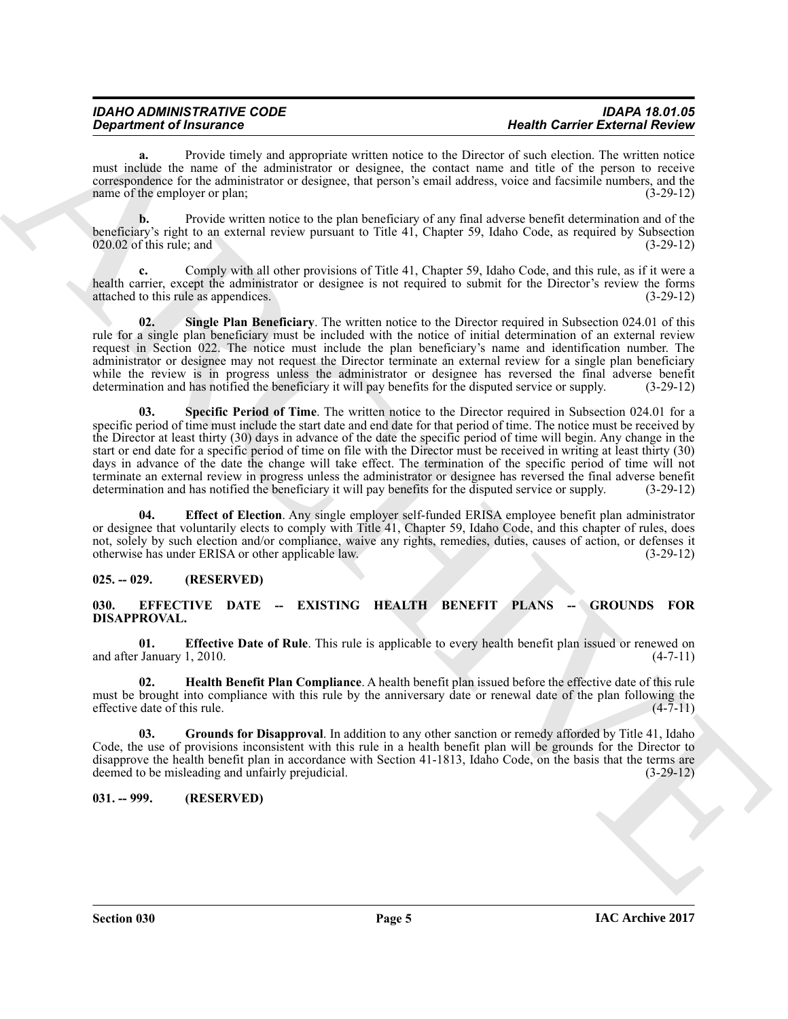# *IDAHO ADMINISTRATIVE CODE IDAPA 18.01.05*

**a.** Provide timely and appropriate written notice to the Director of such election. The written notice must include the name of the administrator or designee, the contact name and title of the person to receive correspondence for the administrator or designee, that person's email address, voice and facsimile numbers, and the name of the employer or plan; (3-29-12)

**b.** Provide written notice to the plan beneficiary of any final adverse benefit determination and of the beneficiary's right to an external review pursuant to Title 41, Chapter 59, Idaho Code, as required by Subsection  $020.02$  of this rule; and  $(3-29-12)$ 

**c.** Comply with all other provisions of Title 41, Chapter 59, Idaho Code, and this rule, as if it were a health carrier, except the administrator or designee is not required to submit for the Director's review the forms attached to this rule as appendices. (3-29-12) attached to this rule as appendices.

<span id="page-4-9"></span><span id="page-4-8"></span>**02. Single Plan Beneficiary**. The written notice to the Director required in Subsection 024.01 of this rule for a single plan beneficiary must be included with the notice of initial determination of an external review request in Section 022. The notice must include the plan beneficiary's name and identification number. The administrator or designee may not request the Director terminate an external review for a single plan beneficiary while the review is in progress unless the administrator or designee has reversed the final adverse benefit determination and has notified the beneficiary it will pay benefits for the disputed service or supply. (3-29-12)

**Department of Fraction Case of the change of the state of the Distribution of the State of the State Case of the state of the state of the state of the state of the state of the state of the state of the state of the sta 03. Specific Period of Time**. The written notice to the Director required in Subsection 024.01 for a specific period of time must include the start date and end date for that period of time. The notice must be received by the Director at least thirty (30) days in advance of the date the specific period of time will begin. Any change in the start or end date for a specific period of time on file with the Director must be received in writing at least thirty (30) days in advance of the date the change will take effect. The termination of the specific period of time will not terminate an external review in progress unless the administrator or designee has reversed the final adverse benefit determination and has notified the beneficiary it will pay benefits for the disputed service or supply. ( determination and has notified the beneficiary it will pay benefits for the disputed service or supply.

<span id="page-4-7"></span>**04. Effect of Election**. Any single employer self-funded ERISA employee benefit plan administrator or designee that voluntarily elects to comply with Title 41, Chapter 59, Idaho Code, and this chapter of rules, does not, solely by such election and/or compliance, waive any rights, remedies, duties, causes of action, or defenses it otherwise has under ERISA or other applicable law. (3-29-12) otherwise has under ERISA or other applicable law.

# <span id="page-4-0"></span>**025. -- 029. (RESERVED)**

# <span id="page-4-3"></span><span id="page-4-1"></span>**030. EFFECTIVE DATE -- EXISTING HEALTH BENEFIT PLANS -- GROUNDS FOR DISAPPROVAL.**

<span id="page-4-4"></span>**01. Effective Date of Rule**. This rule is applicable to every health benefit plan issued or renewed on January 1, 2010. (4-7-11) and after January 1, 2010.

<span id="page-4-6"></span>**02. Health Benefit Plan Compliance**. A health benefit plan issued before the effective date of this rule must be brought into compliance with this rule by the anniversary date or renewal date of the plan following the effective date of this rule. (4-7-11) effective date of this rule.

<span id="page-4-5"></span>**03. Grounds for Disapproval**. In addition to any other sanction or remedy afforded by Title 41, Idaho Code, the use of provisions inconsistent with this rule in a health benefit plan will be grounds for the Director to disapprove the health benefit plan in accordance with Section 41-1813, Idaho Code, on the basis that the terms are deemed to be misleading and unfairly prejudicial. (3-29-12) deemed to be misleading and unfairly prejudicial.

# <span id="page-4-2"></span>**031. -- 999. (RESERVED)**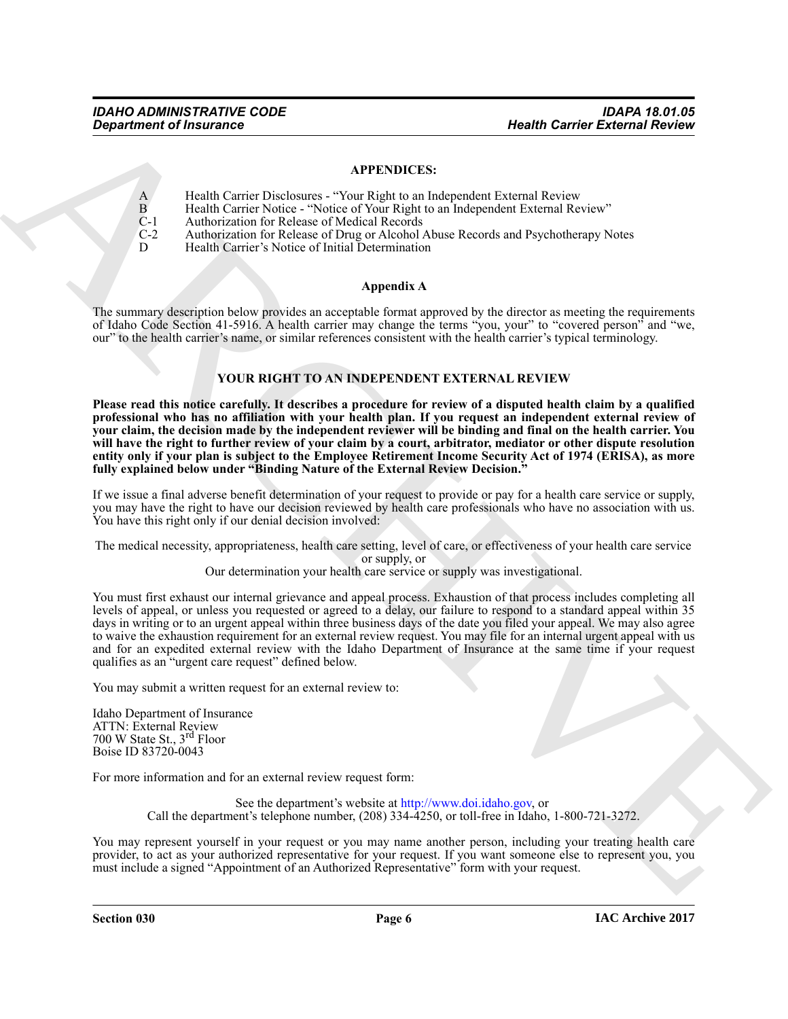# **APPENDICES:**

- A Health Carrier Disclosures "Your Right to an Independent External Review
- B Health Carrier Notice "Notice of Your Right to an Independent External Review"
- C-1 Authorization for Release of Medical Records<br>C-2 Authorization for Release of Drug or Alcohol
- C-2 Authorization for Release of Drug or Alcohol Abuse Records and Psychotherapy Notes
	- Health Carrier's Notice of Initial Determination

# **Appendix A**

The summary description below provides an acceptable format approved by the director as meeting the requirements of Idaho Code Section 41-5916. A health carrier may change the terms "you, your" to "covered person" and "we, our" to the health carrier's name, or similar references consistent with the health carrier's typical terminology.

# **YOUR RIGHT TO AN INDEPENDENT EXTERNAL REVIEW**

**Please read this notice carefully. It describes a procedure for review of a disputed health claim by a qualified professional who has no affiliation with your health plan. If you request an independent external review of your claim, the decision made by the independent reviewer will be binding and final on the health carrier. You will have the right to further review of your claim by a court, arbitrator, mediator or other dispute resolution entity only if your plan is subject to the Employee Retirement Income Security Act of 1974 (ERISA), as more fully explained below under "Binding Nature of the External Review Decision."**

If we issue a final adverse benefit determination of your request to provide or pay for a health care service or supply, you may have the right to have our decision reviewed by health care professionals who have no association with us. You have this right only if our denial decision involved:

The medical necessity, appropriateness, health care setting, level of care, or effectiveness of your health care service or supply, or

Our determination your health care service or supply was investigational.

**Bestimant of Insurance**<br>
APPENDICES:<br>
APPENDICES:<br>
ARPENDICES:<br>
A Conservation Conservation Conservation Conservation Conservation Conservation Conservation Conservation Conservation Conservation Conservation Conservatio You must first exhaust our internal grievance and appeal process. Exhaustion of that process includes completing all levels of appeal, or unless you requested or agreed to a delay, our failure to respond to a standard appeal within 35 days in writing or to an urgent appeal within three business days of the date you filed your appeal. We may also agree to waive the exhaustion requirement for an external review request. You may file for an internal urgent appeal with us and for an expedited external review with the Idaho Department of Insurance at the same time if your request qualifies as an "urgent care request" defined below.

You may submit a written request for an external review to:

Idaho Department of Insurance ATTN: External Review 700 W State St., 3rd Floor Boise ID 83720-0043

For more information and for an external review request form:

See the department's website at http://www.doi.idaho.gov, or Call the department's telephone number, (208) 334-4250, or toll-free in Idaho, 1-800-721-3272.

You may represent yourself in your request or you may name another person, including your treating health care provider, to act as your authorized representative for your request. If you want someone else to represent you, you must include a signed "Appointment of an Authorized Representative" form with your request.

**Section 030 Page 6**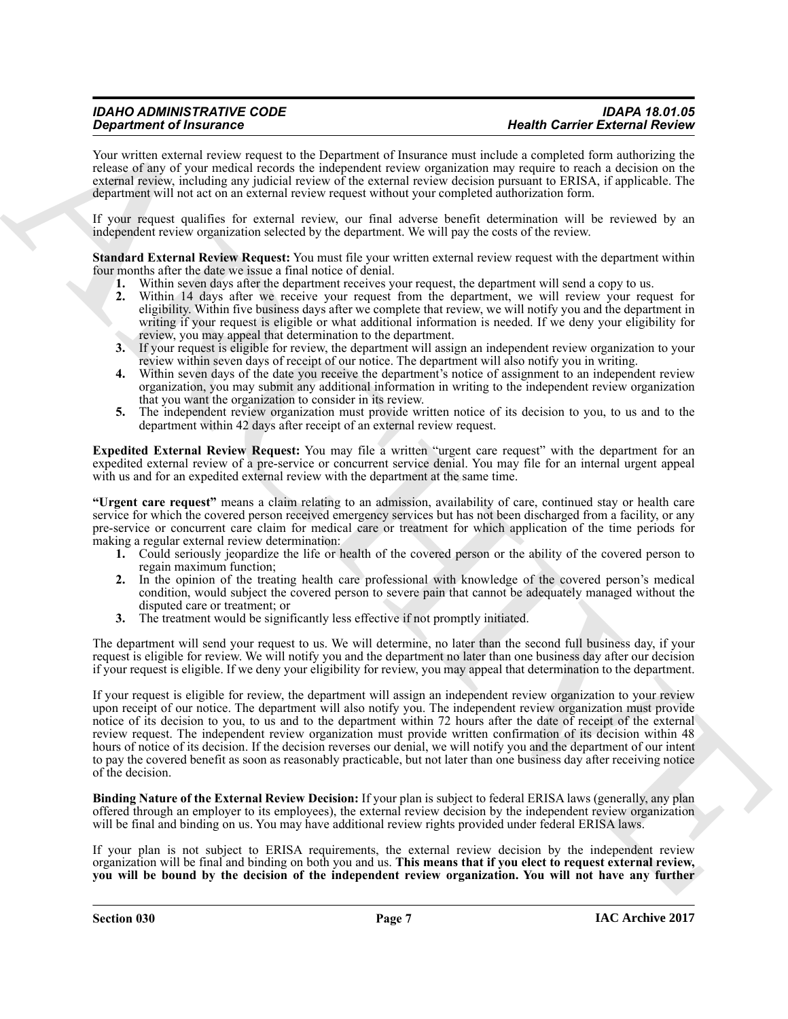# *IDAHO ADMINISTRATIVE CODE IDAPA 18.01.05*

Your written external review request to the Department of Insurance must include a completed form authorizing the release of any of your medical records the independent review organization may require to reach a decision on the external review, including any judicial review of the external review decision pursuant to ERISA, if applicable. The department will not act on an external review request without your completed authorization form.

If your request qualifies for external review, our final adverse benefit determination will be reviewed by an independent review organization selected by the department. We will pay the costs of the review.

**Standard External Review Request:** You must file your written external review request with the department within four months after the date we issue a final notice of denial.

- **1.** Within seven days after the department receives your request, the department will send a copy to us.
- **2.** Within 14 days after we receive your request from the department, we will review your request for eligibility. Within five business days after we complete that review, we will notify you and the department in writing if your request is eligible or what additional information is needed. If we deny your eligibility for review, you may appeal that determination to the department.
- **3.** If your request is eligible for review, the department will assign an independent review organization to your review within seven days of receipt of our notice. The department will also notify you in writing.
- **4.** Within seven days of the date you receive the department's notice of assignment to an independent review organization, you may submit any additional information in writing to the independent review organization that you want the organization to consider in its review.
- **5.** The independent review organization must provide written notice of its decision to you, to us and to the department within 42 days after receipt of an external review request.

**Expedited External Review Request:** You may file a written "urgent care request" with the department for an expedited external review of a pre-service or concurrent service denial. You may file for an internal urgent appeal with us and for an expedited external review with the department at the same time.

**"Urgent care request"** means a claim relating to an admission, availability of care, continued stay or health care service for which the covered person received emergency services but has not been discharged from a facility, or any pre-service or concurrent care claim for medical care or treatment for which application of the time periods for making a regular external review determination:

- **1.** Could seriously jeopardize the life or health of the covered person or the ability of the covered person to regain maximum function;
- **2.** In the opinion of the treating health care professional with knowledge of the covered person's medical condition, would subject the covered person to severe pain that cannot be adequately managed without the disputed care or treatment; or
- **3.** The treatment would be significantly less effective if not promptly initiated.

The department will send your request to us. We will determine, no later than the second full business day, if your request is eligible for review. We will notify you and the department no later than one business day after our decision if your request is eligible. If we deny your eligibility for review, you may appeal that determination to the department.

**Operations of Francesco Constraints of the Upperature of the case of Constraints of Constraints of Constraints of the Constraints of Constraints of the Constraints of Constraints of Constraints of Constraints of Constrai** If your request is eligible for review, the department will assign an independent review organization to your review upon receipt of our notice. The department will also notify you. The independent review organization must provide notice of its decision to you, to us and to the department within 72 hours after the date of receipt of the external review request. The independent review organization must provide written confirmation of its decision within 48 hours of notice of its decision. If the decision reverses our denial, we will notify you and the department of our intent to pay the covered benefit as soon as reasonably practicable, but not later than one business day after receiving notice of the decision.

**Binding Nature of the External Review Decision:** If your plan is subject to federal ERISA laws (generally, any plan offered through an employer to its employees), the external review decision by the independent review organization will be final and binding on us. You may have additional review rights provided under federal ERISA laws.

If your plan is not subject to ERISA requirements, the external review decision by the independent review organization will be final and binding on both you and us. **This means that if you elect to request external review, you will be bound by the decision of the independent review organization. You will not have any further**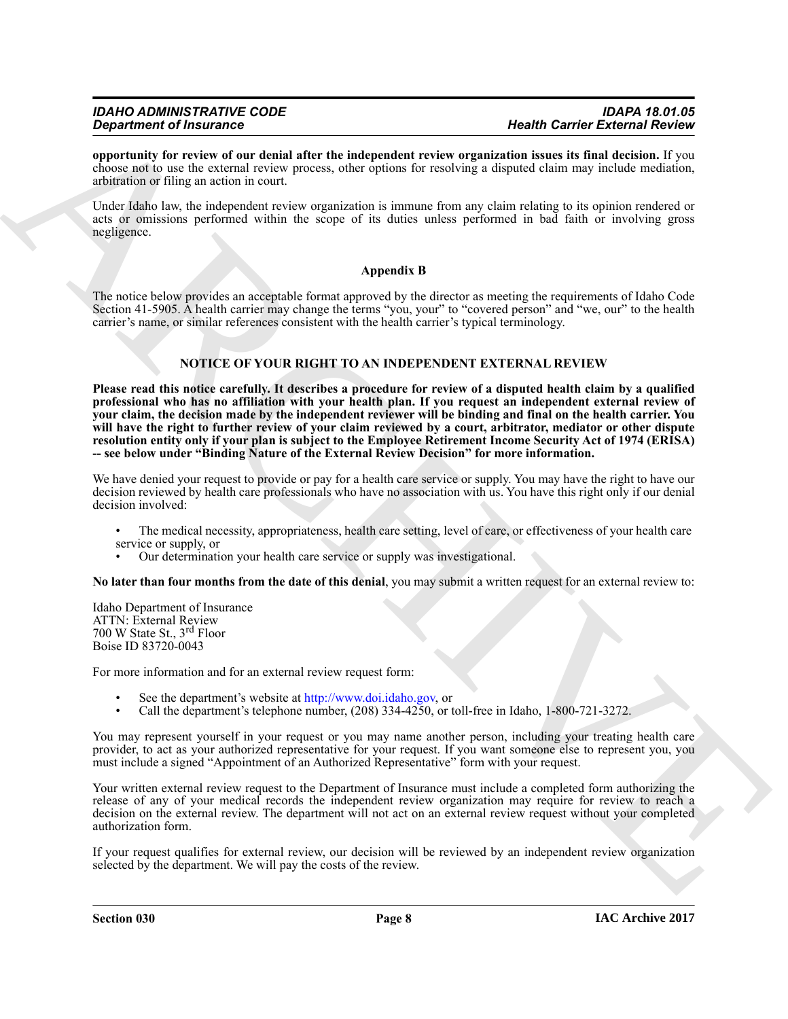# *IDAHO ADMINISTRATIVE CODE IDAPA 18.01.05*

**opportunity for review of our denial after the independent review organization issues its final decision.** If you choose not to use the external review process, other options for resolving a disputed claim may include mediation, arbitration or filing an action in court.

Under Idaho law, the independent review organization is immune from any claim relating to its opinion rendered or acts or omissions performed within the scope of its duties unless performed in bad faith or involving gross negligence.

# **Appendix B**

The notice below provides an acceptable format approved by the director as meeting the requirements of Idaho Code Section 41-5905. A health carrier may change the terms "you, your" to "covered person" and "we, our" to the health carrier's name, or similar references consistent with the health carrier's typical terminology.

# **NOTICE OF YOUR RIGHT TO AN INDEPENDENT EXTERNAL REVIEW**

**Operation of Francesco C<sup>orresp</sup>t that the theoretical review specifical times is the correspondent of the correspondent in the correspondent of the correspondent of the correspondent of the correspondent of the correspo Please read this notice carefully. It describes a procedure for review of a disputed health claim by a qualified professional who has no affiliation with your health plan. If you request an independent external review of your claim, the decision made by the independent reviewer will be binding and final on the health carrier. You will have the right to further review of your claim reviewed by a court, arbitrator, mediator or other dispute resolution entity only if your plan is subject to the Employee Retirement Income Security Act of 1974 (ERISA) -- see below under "Binding Nature of the External Review Decision" for more information.**

We have denied your request to provide or pay for a health care service or supply. You may have the right to have our decision reviewed by health care professionals who have no association with us. You have this right only if our denial decision involved:

- The medical necessity, appropriateness, health care setting, level of care, or effectiveness of your health care service or supply, or
- Our determination your health care service or supply was investigational.

**No later than four months from the date of this denial**, you may submit a written request for an external review to:

Idaho Department of Insurance ATTN: External Review 700 W State St., 3rd Floor Boise ID 83720-0043

For more information and for an external review request form:

- See the department's website at http://www.doi.idaho.gov, or
- Call the department's telephone number, (208) 334-4250, or toll-free in Idaho, 1-800-721-3272.

You may represent yourself in your request or you may name another person, including your treating health care provider, to act as your authorized representative for your request. If you want someone else to represent you, you must include a signed "Appointment of an Authorized Representative" form with your request.

Your written external review request to the Department of Insurance must include a completed form authorizing the release of any of your medical records the independent review organization may require for review to reach a decision on the external review. The department will not act on an external review request without your completed authorization form.

If your request qualifies for external review, our decision will be reviewed by an independent review organization selected by the department. We will pay the costs of the review.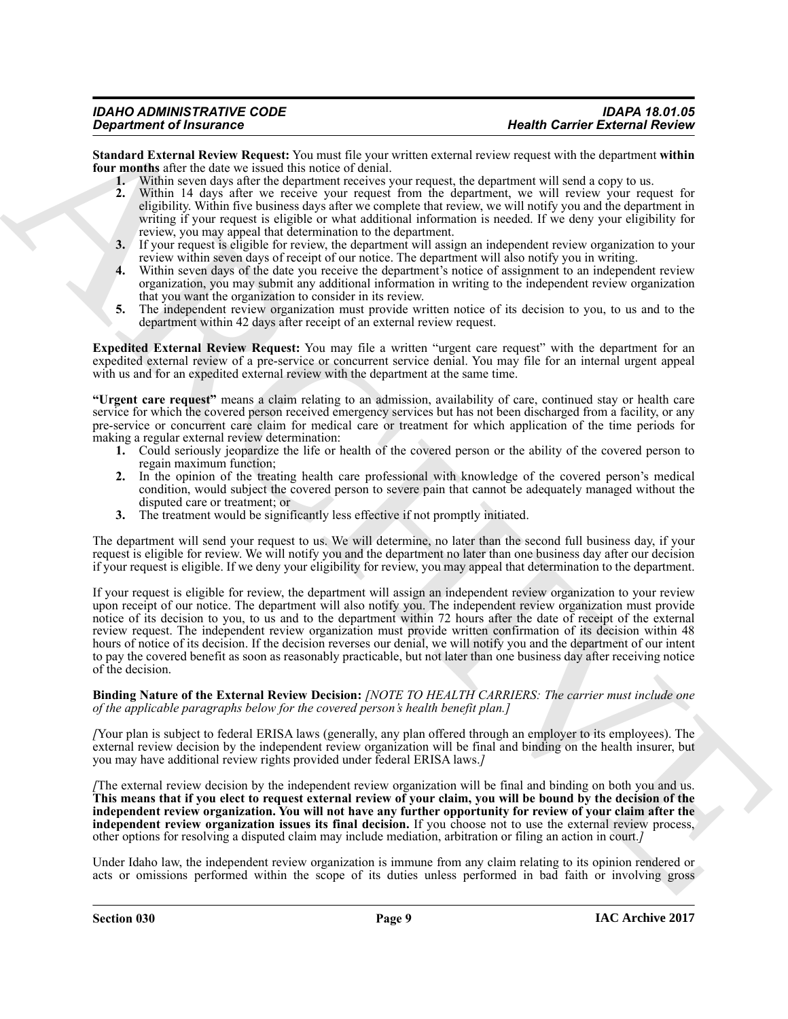**Standard External Review Request:** You must file your written external review request with the department **within four months** after the date we issued this notice of denial.

**1.** Within seven days after the department receives your request, the department will send a copy to us.

- **2.** Within 14 days after we receive your request from the department, we will review your request for eligibility. Within five business days after we complete that review, we will notify you and the department in writing if your request is eligible or what additional information is needed. If we deny your eligibility for review, you may appeal that determination to the department.
- **3.** If your request is eligible for review, the department will assign an independent review organization to your review within seven days of receipt of our notice. The department will also notify you in writing.
- **4.** Within seven days of the date you receive the department's notice of assignment to an independent review organization, you may submit any additional information in writing to the independent review organization that you want the organization to consider in its review.
- **5.** The independent review organization must provide written notice of its decision to you, to us and to the department within 42 days after receipt of an external review request.

**Expedited External Review Request:** You may file a written "urgent care request" with the department for an expedited external review of a pre-service or concurrent service denial. You may file for an internal urgent appeal with us and for an expedited external review with the department at the same time.

**"Urgent care request"** means a claim relating to an admission, availability of care, continued stay or health care service for which the covered person received emergency services but has not been discharged from a facility, or any pre-service or concurrent care claim for medical care or treatment for which application of the time periods for making a regular external review determination:

- **1.** Could seriously jeopardize the life or health of the covered person or the ability of the covered person to regain maximum function;
- **2.** In the opinion of the treating health care professional with knowledge of the covered person's medical condition, would subject the covered person to severe pain that cannot be adequately managed without the disputed care or treatment; or
- **3.** The treatment would be significantly less effective if not promptly initiated.

The department will send your request to us. We will determine, no later than the second full business day, if your request is eligible for review. We will notify you and the department no later than one business day after our decision if your request is eligible. If we deny your eligibility for review, you may appeal that determination to the department.

**Dependent of Franchise Counter of the control of the state of the state of the state of the state of the state of the state of the state of the state of the state of the state of the state of the state of the state of th** If your request is eligible for review, the department will assign an independent review organization to your review upon receipt of our notice. The department will also notify you. The independent review organization must provide notice of its decision to you, to us and to the department within 72 hours after the date of receipt of the external review request. The independent review organization must provide written confirmation of its decision within 48 hours of notice of its decision. If the decision reverses our denial, we will notify you and the department of our intent to pay the covered benefit as soon as reasonably practicable, but not later than one business day after receiving notice of the decision.

#### **Binding Nature of the External Review Decision:** *[NOTE TO HEALTH CARRIERS: The carrier must include one of the applicable paragraphs below for the covered person's health benefit plan.]*

*[*Your plan is subject to federal ERISA laws (generally, any plan offered through an employer to its employees). The external review decision by the independent review organization will be final and binding on the health insurer, but you may have additional review rights provided under federal ERISA laws.*]*

*[*The external review decision by the independent review organization will be final and binding on both you and us. **This means that if you elect to request external review of your claim, you will be bound by the decision of the independent review organization. You will not have any further opportunity for review of your claim after the independent review organization issues its final decision.** If you choose not to use the external review process, other options for resolving a disputed claim may include mediation, arbitration or filing an action in court.*]*

Under Idaho law, the independent review organization is immune from any claim relating to its opinion rendered or acts or omissions performed within the scope of its duties unless performed in bad faith or involving gross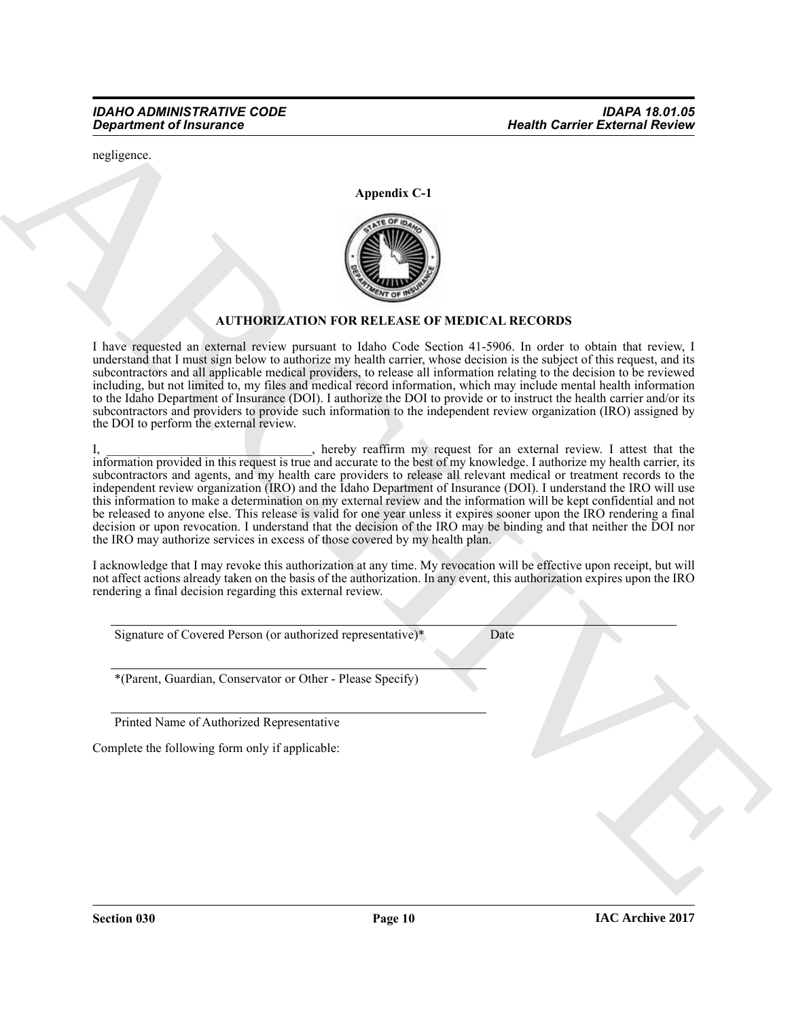negligence.

**Appendix C-1**



# **AUTHORIZATION FOR RELEASE OF MEDICAL RECORDS**

I have requested an external review pursuant to Idaho Code Section 41-5906. In order to obtain that review, I understand that I must sign below to authorize my health carrier, whose decision is the subject of this request, and its subcontractors and all applicable medical providers, to release all information relating to the decision to be reviewed including, but not limited to, my files and medical record information, which may include mental health information to the Idaho Department of Insurance (DOI). I authorize the DOI to provide or to instruct the health carrier and/or its subcontractors and providers to provide such information to the independent review organization (IRO) assigned by the DOI to perform the external review.

ARCHIVE I, \_\_\_\_\_\_\_\_\_\_\_\_\_\_\_\_\_\_\_\_\_\_\_\_, hereby reaffirm my request for an external review. I attest that the information provided in this request is true and accurate to the best of my knowledge. I authorize my health carrier, its subcontractors and agents, and my health care providers to release all relevant medical or treatment records to the independent review organization (IRO) and the Idaho Department of Insurance (DOI). I understand the IRO will use this information to make a determination on my external review and the information will be kept confidential and not be released to anyone else. This release is valid for one year unless it expires sooner upon the IRO rendering a final decision or upon revocation. I understand that the decision of the IRO may be binding and that neither the DOI nor the IRO may authorize services in excess of those covered by my health plan.

I acknowledge that I may revoke this authorization at any time. My revocation will be effective upon receipt, but will not affect actions already taken on the basis of the authorization. In any event, this authorization expires upon the IRO rendering a final decision regarding this external review.

Signature of Covered Person (or authorized representative)\* Date

\*(Parent, Guardian, Conservator or Other - Please Specify)

Printed Name of Authorized Representative

Complete the following form only if applicable: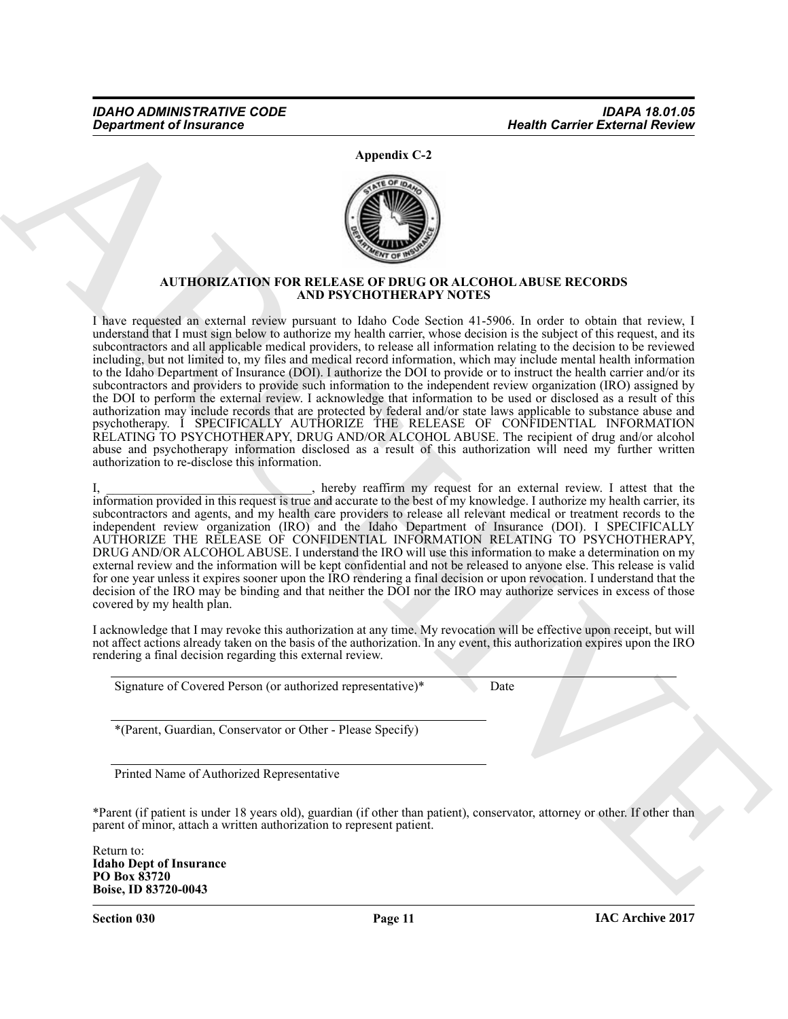**Appendix C-2**



# **AUTHORIZATION FOR RELEASE OF DRUG OR ALCOHOL ABUSE RECORDS AND PSYCHOTHERAPY NOTES**

**From Control Control Control Control Control Control Control Control Control Control Control Control Control Control Control Control Control Control Control Control Control Control Control Control Control Control Control** I have requested an external review pursuant to Idaho Code Section 41-5906. In order to obtain that review, I understand that I must sign below to authorize my health carrier, whose decision is the subject of this request, and its subcontractors and all applicable medical providers, to release all information relating to the decision to be reviewed including, but not limited to, my files and medical record information, which may include mental health information to the Idaho Department of Insurance (DOI). I authorize the DOI to provide or to instruct the health carrier and/or its subcontractors and providers to provide such information to the independent review organization (IRO) assigned by the DOI to perform the external review. I acknowledge that information to be used or disclosed as a result of this authorization may include records that are protected by federal and/or state laws applicable to substance abuse and psychotherapy. I SPECIFICALLY AUTHORIZE THE RELEASE OF CONFIDENTIAL INFORMATION RELATING TO PSYCHOTHERAPY, DRUG AND/OR ALCOHOL ABUSE. The recipient of drug and/or alcohol abuse and psychotherapy information disclosed as a result of this authorization will need my further written authorization to re-disclose this information.

I, hereby reaffirm my request for an external review. I attest that the information provided in this request is true and accurate to the best of my knowledge. I authorize my health carrier, its subcontractors and agents, and my health care providers to release all relevant medical or treatment records to the independent review organization (IRO) and the Idaho Department of Insurance (DOI). I SPECIFICALLY AUTHORIZE THE RELEASE OF CONFIDENTIAL INFORMATION RELATING TO PSYCHOTHERAPY, DRUG AND/OR ALCOHOL ABUSE. I understand the IRO will use this information to make a determination on my external review and the information will be kept confidential and not be released to anyone else. This release is valid for one year unless it expires sooner upon the IRO rendering a final decision or upon revocation. I understand that the decision of the IRO may be binding and that neither the DOI nor the IRO may authorize services in excess of those covered by my health plan.

I acknowledge that I may revoke this authorization at any time. My revocation will be effective upon receipt, but will not affect actions already taken on the basis of the authorization. In any event, this authorization expires upon the IRO rendering a final decision regarding this external review.

Signature of Covered Person (or authorized representative)\* Date

\*(Parent, Guardian, Conservator or Other - Please Specify)

Printed Name of Authorized Representative

\*Parent (if patient is under 18 years old), guardian (if other than patient), conservator, attorney or other. If other than parent of minor, attach a written authorization to represent patient.

Return to: **Idaho Dept of Insurance PO Box 83720 Boise, ID 83720-0043**

**Section 030 Page 11**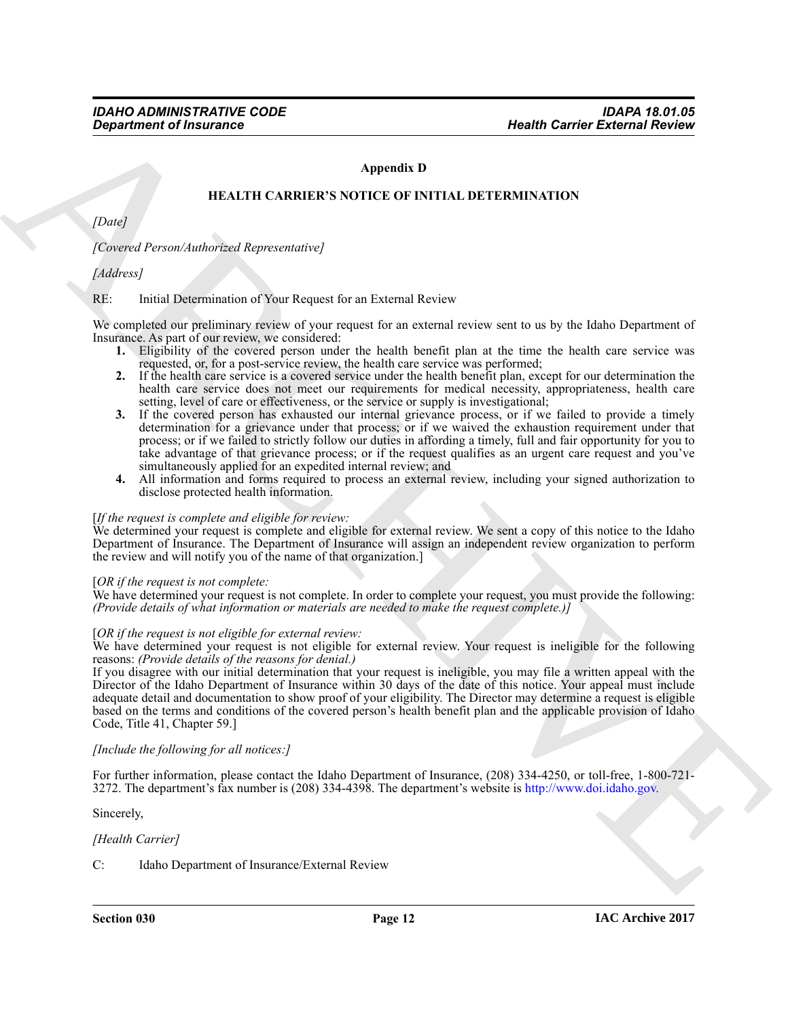# **Appendix D**

#### **HEALTH CARRIER'S NOTICE OF INITIAL DETERMINATION**

*[Date]*

*[Covered Person/Authorized Representative]*

*[Address]*

#### RE: Initial Determination of Your Request for an External Review

We completed our preliminary review of your request for an external review sent to us by the Idaho Department of Insurance. As part of our review, we considered:

- **1.** Eligibility of the covered person under the health benefit plan at the time the health care service was requested, or, for a post-service review, the health care service was performed;
- **2.** If the health care service is a covered service under the health benefit plan, except for our determination the health care service does not meet our requirements for medical necessity, appropriateness, health care setting, level of care or effectiveness, or the service or supply is investigational;
- **3.** If the covered person has exhausted our internal grievance process, or if we failed to provide a timely determination for a grievance under that process; or if we waived the exhaustion requirement under that process; or if we failed to strictly follow our duties in affording a timely, full and fair opportunity for you to take advantage of that grievance process; or if the request qualifies as an urgent care request and you've simultaneously applied for an expedited internal review; and
- **4.** All information and forms required to process an external review, including your signed authorization to disclose protected health information.

#### [*If the request is complete and eligible for review:*

We determined your request is complete and eligible for external review. We sent a copy of this notice to the Idaho Department of Insurance. The Department of Insurance will assign an independent review organization to perform the review and will notify you of the name of that organization.]

#### [*OR if the request is not complete:*

We have determined your request is not complete. In order to complete your request, you must provide the following: *(Provide details of what information or materials are needed to make the request complete.)]*

# [*OR if the request is not eligible for external review:*

We have determined your request is not eligible for external review. Your request is ineligible for the following reasons: *(Provide details of the reasons for denial.)*

**Health Carrier Griesconic Control Control Control Control Control Control Control Control Control Control Control Control Control Control Control Control Control Control Control Control Control Control Control Control Co** If you disagree with our initial determination that your request is ineligible, you may file a written appeal with the Director of the Idaho Department of Insurance within 30 days of the date of this notice. Your appeal must include adequate detail and documentation to show proof of your eligibility. The Director may determine a request is eligible based on the terms and conditions of the covered person's health benefit plan and the applicable provision of Idaho Code, Title 41, Chapter 59.]

#### *[Include the following for all notices:]*

For further information, please contact the Idaho Department of Insurance, (208) 334-4250, or toll-free, 1-800-721- 3272. The department's fax number is (208) 334-4398. The department's website is http://www.doi.idaho.gov.

Sincerely,

#### *[Health Carrier]*

C: Idaho Department of Insurance/External Review